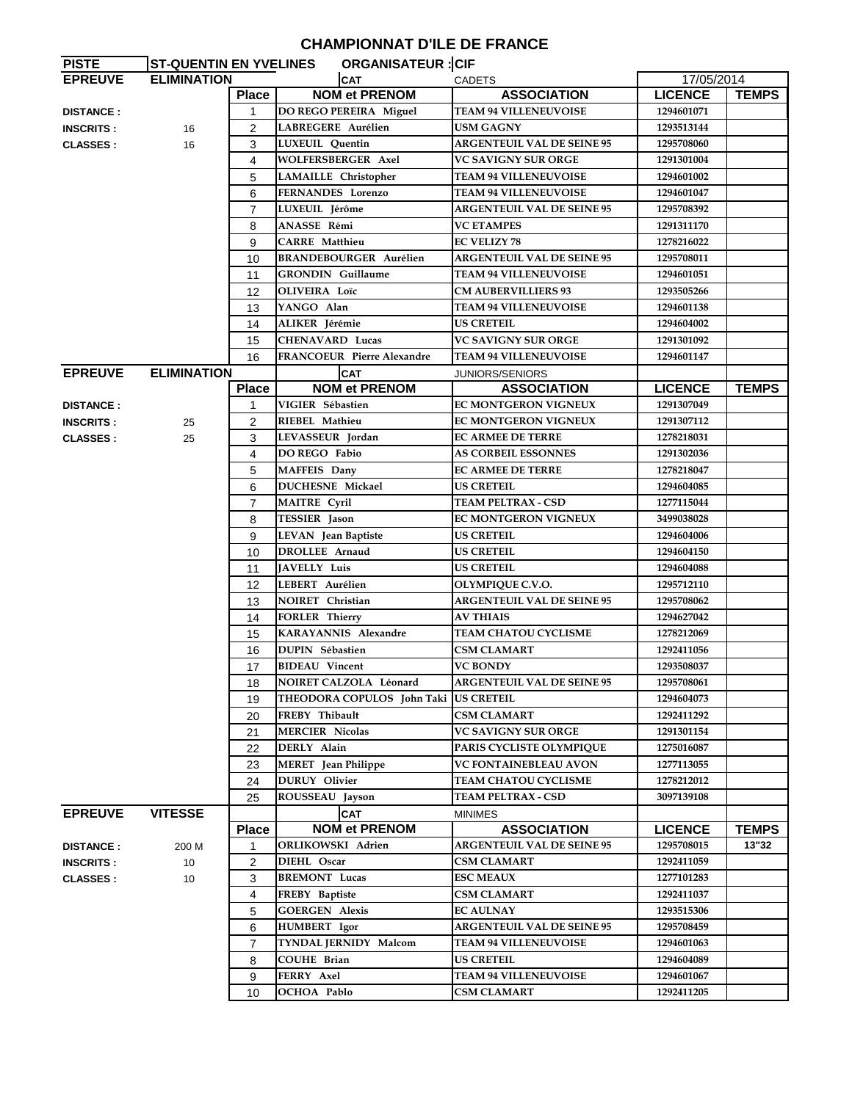## **CHAMPIONNAT D'ILE DE FRANCE**

| <b>PISTE</b>     | <b>ST-QUENTIN EN YVELINES</b> |                | <b>ORGANISATEUR : CIF</b>         |                                   |                |              |
|------------------|-------------------------------|----------------|-----------------------------------|-----------------------------------|----------------|--------------|
| <b>EPREUVE</b>   | <b>ELIMINATION</b>            |                | <b>CAT</b>                        | <b>CADETS</b>                     | 17/05/2014     |              |
|                  |                               | <b>Place</b>   | <b>NOM et PRENOM</b>              | <b>ASSOCIATION</b>                | <b>LICENCE</b> | <b>TEMPS</b> |
| <b>DISTANCE:</b> |                               | $\mathbf{1}$   | DO REGO PEREIRA Miguel            | <b>TEAM 94 VILLENEUVOISE</b>      | 1294601071     |              |
| <b>INSCRITS:</b> | 16                            | $\overline{2}$ | LABREGERE Aurélien                | <b>USM GAGNY</b>                  | 1293513144     |              |
| <b>CLASSES:</b>  | 16                            | 3              | <b>LUXEUIL</b> Quentin            | <b>ARGENTEUIL VAL DE SEINE 95</b> | 1295708060     |              |
|                  |                               | 4              | WOLFERSBERGER Axel                | VC SAVIGNY SUR ORGE               | 1291301004     |              |
|                  |                               | 5              | LAMAILLE Christopher              | <b>TEAM 94 VILLENEUVOISE</b>      | 1294601002     |              |
|                  |                               | 6              | <b>FERNANDES</b> Lorenzo          | <b>TEAM 94 VILLENEUVOISE</b>      | 1294601047     |              |
|                  |                               | $\overline{7}$ | LUXEUIL Jérôme                    | <b>ARGENTEUIL VAL DE SEINE 95</b> | 1295708392     |              |
|                  |                               | 8              | ANASSE Rémi                       | <b>VC ETAMPES</b>                 | 1291311170     |              |
|                  |                               | 9              | <b>CARRE Matthieu</b>             | <b>EC VELIZY 78</b>               | 1278216022     |              |
|                  |                               |                | <b>BRANDEBOURGER Aurélien</b>     | <b>ARGENTEUIL VAL DE SEINE 95</b> | 1295708011     |              |
|                  |                               | 10             | <b>GRONDIN</b> Guillaume          |                                   |                |              |
|                  |                               | 11             |                                   | <b>TEAM 94 VILLENEUVOISE</b>      | 1294601051     |              |
|                  |                               | 12             | OLIVEIRA Loïc                     | <b>CM AUBERVILLIERS 93</b>        | 1293505266     |              |
|                  |                               | 13             | YANGO Alan                        | <b>TEAM 94 VILLENEUVOISE</b>      | 1294601138     |              |
|                  |                               | 14             | ALIKER Jérémie                    | <b>US CRETEIL</b>                 | 1294604002     |              |
|                  |                               | 15             | CHENAVARD Lucas                   | <b>VC SAVIGNY SUR ORGE</b>        | 1291301092     |              |
|                  |                               | 16             | <b>FRANCOEUR Pierre Alexandre</b> | <b>TEAM 94 VILLENEUVOISE</b>      | 1294601147     |              |
| <b>EPREUVE</b>   | <b>ELIMINATION</b>            |                | <b>CAT</b>                        | JUNIORS/SENIORS                   |                |              |
|                  |                               | <b>Place</b>   | <b>NOM et PRENOM</b>              | <b>ASSOCIATION</b>                | <b>LICENCE</b> | <b>TEMPS</b> |
| <b>DISTANCE:</b> |                               | 1              | VIGIER Sébastien                  | <b>EC MONTGERON VIGNEUX</b>       | 1291307049     |              |
| <b>INSCRITS:</b> | 25                            | 2              | RIEBEL Mathieu                    | <b>EC MONTGERON VIGNEUX</b>       | 1291307112     |              |
| <b>CLASSES:</b>  | 25                            | 3              | LEVASSEUR Jordan                  | <b>EC ARMEE DE TERRE</b>          | 1278218031     |              |
|                  |                               | 4              | <b>DO REGO Fabio</b>              | <b>AS CORBEIL ESSONNES</b>        | 1291302036     |              |
|                  |                               | 5              | MAFFEIS Dany                      | <b>EC ARMEE DE TERRE</b>          | 1278218047     |              |
|                  |                               | 6              | <b>DUCHESNE Mickael</b>           | <b>US CRETEIL</b>                 | 1294604085     |              |
|                  |                               | $\overline{7}$ | MAITRE Cyril                      | <b>TEAM PELTRAX - CSD</b>         | 1277115044     |              |
|                  |                               |                | <b>TESSIER</b> Jason              | <b>EC MONTGERON VIGNEUX</b>       | 3499038028     |              |
|                  |                               | 8              |                                   |                                   |                |              |
|                  |                               | 9              | LEVAN Jean Baptiste               | <b>US CRETEIL</b>                 | 1294604006     |              |
|                  |                               | 10             | <b>DROLLEE</b> Arnaud             | <b>US CRETEIL</b>                 | 1294604150     |              |
|                  |                               | 11             | JAVELLY Luis                      | US CRETEIL                        | 1294604088     |              |
|                  |                               | 12             | LEBERT Aurélien                   | OLYMPIQUE C.V.O.                  | 1295712110     |              |
|                  |                               | 13             | NOIRET Christian                  | <b>ARGENTEUIL VAL DE SEINE 95</b> | 1295708062     |              |
|                  |                               | 14             | <b>FORLER Thierry</b>             | <b>AV THIAIS</b>                  | 1294627042     |              |
|                  |                               | 15             | KARAYANNIS Alexandre              | <b>TEAM CHATOU CYCLISME</b>       | 1278212069     |              |
|                  |                               | 16             | DUPIN Sébastien                   | <b>CSM CLAMART</b>                | 1292411056     |              |
|                  |                               | 17             | <b>BIDEAU</b> Vincent             | <b>VC BONDY</b>                   | 1293508037     |              |
|                  |                               | 18             | NOIRET CALZOLA Léonard            | <b>ARGENTEUIL VAL DE SEINE 95</b> | 1295708061     |              |
|                  |                               | 19             | THEODORA COPULOS John Taki        | <b>US CRETEIL</b>                 | 1294604073     |              |
|                  |                               | 20             | FREBY Thibault                    | <b>CSM CLAMART</b>                | 1292411292     |              |
|                  |                               | 21             | <b>MERCIER Nicolas</b>            | <b>VC SAVIGNY SUR ORGE</b>        | 1291301154     |              |
|                  |                               | 22             | DERLY Alain                       | PARIS CYCLISTE OLYMPIQUE          | 1275016087     |              |
|                  |                               | 23             | <b>MERET</b> Jean Philippe        | <b>VC FONTAINEBLEAU AVON</b>      | 1277113055     |              |
|                  |                               |                | <b>DURUY</b> Olivier              | <b>TEAM CHATOU CYCLISME</b>       | 1278212012     |              |
|                  |                               | 24             |                                   |                                   |                |              |
|                  |                               | 25             | ROUSSEAU Jayson                   | <b>TEAM PELTRAX - CSD</b>         | 3097139108     |              |
| <b>EPREUVE</b>   | <b>VITESSE</b>                |                | <b>CAT</b>                        | <b>MINIMES</b>                    |                |              |
|                  |                               | <b>Place</b>   | <b>NOM et PRENOM</b>              | <b>ASSOCIATION</b>                | <b>LICENCE</b> | <b>TEMPS</b> |
| <b>DISTANCE:</b> | 200 M                         | 1              | ORLIKOWSKI Adrien                 | <b>ARGENTEUIL VAL DE SEINE 95</b> | 1295708015     | 13"32        |
| <b>INSCRITS:</b> | 10                            | $\overline{2}$ | DIEHL Oscar                       | <b>CSM CLAMART</b>                | 1292411059     |              |
| <b>CLASSES:</b>  | 10                            | 3              | <b>BREMONT</b> Lucas              | <b>ESC MEAUX</b>                  | 1277101283     |              |
|                  |                               | 4              | FREBY Baptiste                    | <b>CSM CLAMART</b>                | 1292411037     |              |
|                  |                               | 5              | <b>GOERGEN Alexis</b>             | <b>EC AULNAY</b>                  | 1293515306     |              |
|                  |                               | 6              | HUMBERT Igor                      | <b>ARGENTEUIL VAL DE SEINE 95</b> | 1295708459     |              |
|                  |                               | $\overline{7}$ | TYNDAL JERNIDY Malcom             | <b>TEAM 94 VILLENEUVOISE</b>      | 1294601063     |              |
|                  |                               | 8              | <b>COUHE Brian</b>                | <b>US CRETEIL</b>                 | 1294604089     |              |
|                  |                               | 9              | FERRY Axel                        | <b>TEAM 94 VILLENEUVOISE</b>      | 1294601067     |              |
|                  |                               |                |                                   |                                   |                |              |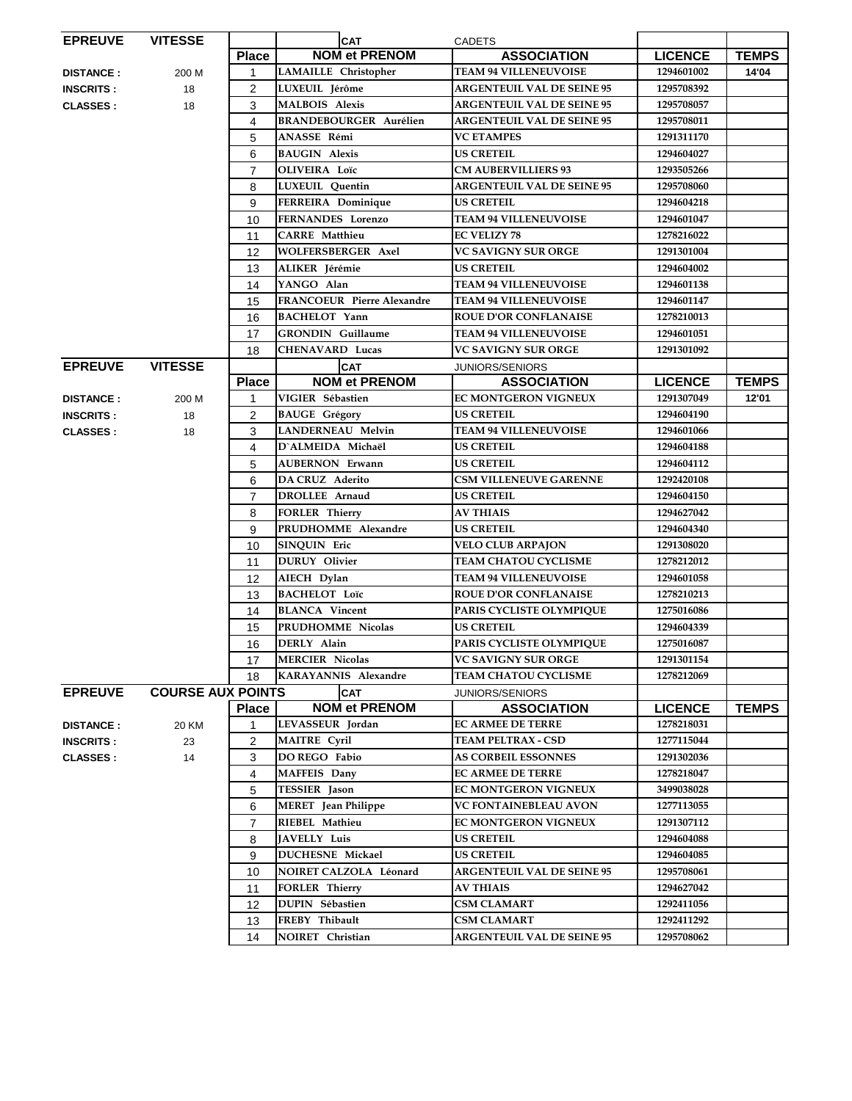| <b>NOM et PRENOM</b><br><b>Place</b><br><b>ASSOCIATION</b><br><b>LICENCE</b><br>TEAM 94 VILLENEUVOISE<br>LAMAILLE Christopher<br>1294601002<br>14'04<br>1<br>200 M<br><b>DISTANCE:</b><br>$\overline{2}$<br>LUXEUIL Jérôme<br><b>ARGENTEUIL VAL DE SEINE 95</b><br>1295708392<br>18<br><b>INSCRITS:</b><br><b>MALBOIS Alexis</b><br><b>ARGENTEUIL VAL DE SEINE 95</b><br>3<br>1295708057<br>18<br><b>CLASSES:</b><br><b>BRANDEBOURGER Aurélien</b><br>4<br><b>ARGENTEUIL VAL DE SEINE 95</b><br>1295708011<br>ANASSE Rémi<br><b>VC ETAMPES</b><br>5<br>1291311170<br><b>BAUGIN Alexis</b><br><b>US CRETEIL</b><br>6<br>1294604027<br><b>OLIVEIRA</b> Loïc<br><b>CM AUBERVILLIERS 93</b><br>1293505266<br>$\overline{7}$<br><b>ARGENTEUIL VAL DE SEINE 95</b><br>LUXEUIL Ouentin<br>1295708060<br>8<br>9<br>FERREIRA Dominique<br><b>US CRETEIL</b><br>1294604218<br><b>FERNANDES</b> Lorenzo<br><b>TEAM 94 VILLENEUVOISE</b><br>1294601047<br>10<br><b>CARRE</b> Matthieu<br><b>EC VELIZY 78</b><br>1278216022<br>11<br><b>WOLFERSBERGER Axel</b><br><b>VC SAVIGNY SUR ORGE</b><br>1291301004<br>12<br><b>US CRETEIL</b><br>ALIKER Jérémie<br>13<br>1294604002<br>YANGO Alan<br><b>TEAM 94 VILLENEUVOISE</b><br>1294601138<br>14<br><b>FRANCOEUR Pierre Alexandre</b><br>15<br><b>TEAM 94 VILLENEUVOISE</b><br>1294601147<br><b>BACHELOT</b> Yann<br><b>ROUE D'OR CONFLANAISE</b><br>1278210013<br>16<br><b>GRONDIN</b> Guillaume<br><b>TEAM 94 VILLENEUVOISE</b><br>1294601051<br>17<br><b>CHENAVARD Lucas</b><br><b>VC SAVIGNY SUR ORGE</b><br>1291301092<br>18<br><b>VITESSE</b><br><b>EPREUVE</b><br><b>CAT</b><br><b>JUNIORS/SENIORS</b><br><b>NOM et PRENOM</b><br><b>TEMPS</b><br><b>ASSOCIATION</b><br><b>LICENCE</b><br><b>Place</b><br>VIGIER Sébastien<br><b>EC MONTGERON VIGNEUX</b><br>12'01<br>1291307049<br>200 M<br>1<br><b>DISTANCE:</b><br><b>BAUGE</b> Grégory<br><b>US CRETEIL</b><br>1294604190<br>2<br><b>INSCRITS:</b><br>18<br>3<br>LANDERNEAU Melvin<br><b>TEAM 94 VILLENEUVOISE</b><br>1294601066<br>18<br><b>CLASSES:</b><br><b>US CRETEIL</b><br>4<br>D'ALMEIDA Michaël<br>1294604188<br>5<br><b>AUBERNON Erwann</b><br><b>US CRETEIL</b><br>1294604112<br><b>DA CRUZ</b> Aderito<br><b>CSM VILLENEUVE GARENNE</b><br>6<br>1292420108<br>DROLLEE Arnaud<br><b>US CRETEIL</b><br>$\overline{7}$<br>1294604150<br><b>FORLER Thierry</b><br><b>AV THIAIS</b><br>1294627042<br>8<br>PRUDHOMME Alexandre<br>9<br><b>US CRETEIL</b><br>1294604340<br>SINQUIN Eric<br><b>VELO CLUB ARPAJON</b><br>1291308020<br>10<br><b>DURUY</b> Olivier<br><b>TEAM CHATOU CYCLISME</b><br>1278212012<br>11<br>AIECH Dylan<br><b>TEAM 94 VILLENEUVOISE</b><br>1294601058<br>12<br><b>BACHELOT Loïc</b><br><b>ROUE D'OR CONFLANAISE</b><br>1278210213<br>13<br><b>BLANCA</b> Vincent<br>PARIS CYCLISTE OLYMPIQUE<br>1275016086<br>14<br><b>US CRETEIL</b><br>PRUDHOMME Nicolas<br>1294604339<br>15<br>DERLY Alain<br>PARIS CYCLISTE OLYMPIQUE<br>1275016087<br>16<br><b>MERCIER Nicolas</b><br>VC SAVIGNY SUR ORGE<br>1291301154<br>17<br>KARAYANNIS Alexandre<br>1278212069<br>18<br><b>TEAM CHATOU CYCLISME</b><br><b>EPREUVE</b><br><b>COURSE AUX POINTS</b><br><b>CAT</b><br>JUNIORS/SENIORS<br><b>NOM et PRENOM</b><br><b>LICENCE</b><br><b>TEMPS</b><br><b>Place</b><br><b>ASSOCIATION</b><br>LEVASSEUR Jordan<br><b>EC ARMEE DE TERRE</b><br>1278218031<br>1<br><b>DISTANCE:</b><br>20 KM<br>$\overline{2}$<br><b>MAITRE Cyril</b><br><b>TEAM PELTRAX - CSD</b><br>1277115044<br><b>INSCRITS:</b><br>23<br>DO REGO Fabio<br><b>AS CORBEIL ESSONNES</b><br>1291302036<br>3<br>14<br><b>CLASSES:</b><br>$\overline{4}$<br><b>MAFFEIS</b> Dany<br><b>EC ARMEE DE TERRE</b><br>1278218047<br><b>TESSIER</b> Jason<br>EC MONTGERON VIGNEUX<br>3499038028<br>5<br><b>MERET</b> Jean Philippe<br><b>VC FONTAINEBLEAU AVON</b><br>6<br>1277113055<br>RIEBEL Mathieu<br>$\overline{7}$<br><b>EC MONTGERON VIGNEUX</b><br>1291307112<br>JAVELLY Luis<br><b>US CRETEIL</b><br>1294604088<br>8<br><b>DUCHESNE Mickael</b><br>US CRETEIL<br>9<br>1294604085<br>NOIRET CALZOLA Léonard<br><b>ARGENTEUIL VAL DE SEINE 95</b><br>1295708061<br>10<br><b>FORLER Thierry</b><br><b>AV THIAIS</b><br>1294627042<br>11<br><b>DUPIN Sébastien</b><br><b>CSM CLAMART</b><br>1292411056<br>12 |                                                                           | <b>EPREUVE</b> | <b>VITESSE</b> | <b>CAT</b> | <b>CADETS</b> |              |
|-------------------------------------------------------------------------------------------------------------------------------------------------------------------------------------------------------------------------------------------------------------------------------------------------------------------------------------------------------------------------------------------------------------------------------------------------------------------------------------------------------------------------------------------------------------------------------------------------------------------------------------------------------------------------------------------------------------------------------------------------------------------------------------------------------------------------------------------------------------------------------------------------------------------------------------------------------------------------------------------------------------------------------------------------------------------------------------------------------------------------------------------------------------------------------------------------------------------------------------------------------------------------------------------------------------------------------------------------------------------------------------------------------------------------------------------------------------------------------------------------------------------------------------------------------------------------------------------------------------------------------------------------------------------------------------------------------------------------------------------------------------------------------------------------------------------------------------------------------------------------------------------------------------------------------------------------------------------------------------------------------------------------------------------------------------------------------------------------------------------------------------------------------------------------------------------------------------------------------------------------------------------------------------------------------------------------------------------------------------------------------------------------------------------------------------------------------------------------------------------------------------------------------------------------------------------------------------------------------------------------------------------------------------------------------------------------------------------------------------------------------------------------------------------------------------------------------------------------------------------------------------------------------------------------------------------------------------------------------------------------------------------------------------------------------------------------------------------------------------------------------------------------------------------------------------------------------------------------------------------------------------------------------------------------------------------------------------------------------------------------------------------------------------------------------------------------------------------------------------------------------------------------------------------------------------------------------------------------------------------------------------------------------------------------------------------------------------------------------------------------------------------------------------------------------------------------------------------------------------------------------------------------------------------------------------------------------------------------------------------------------------------------------------------------------------------------------------------------------------------------------------------------------------------------------------------------------------------------------------------------------------------------------------|---------------------------------------------------------------------------|----------------|----------------|------------|---------------|--------------|
|                                                                                                                                                                                                                                                                                                                                                                                                                                                                                                                                                                                                                                                                                                                                                                                                                                                                                                                                                                                                                                                                                                                                                                                                                                                                                                                                                                                                                                                                                                                                                                                                                                                                                                                                                                                                                                                                                                                                                                                                                                                                                                                                                                                                                                                                                                                                                                                                                                                                                                                                                                                                                                                                                                                                                                                                                                                                                                                                                                                                                                                                                                                                                                                                                                                                                                                                                                                                                                                                                                                                                                                                                                                                                                                                                                                                                                                                                                                                                                                                                                                                                                                                                                                                                                                                                     |                                                                           |                |                |            |               | <b>TEMPS</b> |
|                                                                                                                                                                                                                                                                                                                                                                                                                                                                                                                                                                                                                                                                                                                                                                                                                                                                                                                                                                                                                                                                                                                                                                                                                                                                                                                                                                                                                                                                                                                                                                                                                                                                                                                                                                                                                                                                                                                                                                                                                                                                                                                                                                                                                                                                                                                                                                                                                                                                                                                                                                                                                                                                                                                                                                                                                                                                                                                                                                                                                                                                                                                                                                                                                                                                                                                                                                                                                                                                                                                                                                                                                                                                                                                                                                                                                                                                                                                                                                                                                                                                                                                                                                                                                                                                                     |                                                                           |                |                |            |               |              |
|                                                                                                                                                                                                                                                                                                                                                                                                                                                                                                                                                                                                                                                                                                                                                                                                                                                                                                                                                                                                                                                                                                                                                                                                                                                                                                                                                                                                                                                                                                                                                                                                                                                                                                                                                                                                                                                                                                                                                                                                                                                                                                                                                                                                                                                                                                                                                                                                                                                                                                                                                                                                                                                                                                                                                                                                                                                                                                                                                                                                                                                                                                                                                                                                                                                                                                                                                                                                                                                                                                                                                                                                                                                                                                                                                                                                                                                                                                                                                                                                                                                                                                                                                                                                                                                                                     |                                                                           |                |                |            |               |              |
|                                                                                                                                                                                                                                                                                                                                                                                                                                                                                                                                                                                                                                                                                                                                                                                                                                                                                                                                                                                                                                                                                                                                                                                                                                                                                                                                                                                                                                                                                                                                                                                                                                                                                                                                                                                                                                                                                                                                                                                                                                                                                                                                                                                                                                                                                                                                                                                                                                                                                                                                                                                                                                                                                                                                                                                                                                                                                                                                                                                                                                                                                                                                                                                                                                                                                                                                                                                                                                                                                                                                                                                                                                                                                                                                                                                                                                                                                                                                                                                                                                                                                                                                                                                                                                                                                     |                                                                           |                |                |            |               |              |
|                                                                                                                                                                                                                                                                                                                                                                                                                                                                                                                                                                                                                                                                                                                                                                                                                                                                                                                                                                                                                                                                                                                                                                                                                                                                                                                                                                                                                                                                                                                                                                                                                                                                                                                                                                                                                                                                                                                                                                                                                                                                                                                                                                                                                                                                                                                                                                                                                                                                                                                                                                                                                                                                                                                                                                                                                                                                                                                                                                                                                                                                                                                                                                                                                                                                                                                                                                                                                                                                                                                                                                                                                                                                                                                                                                                                                                                                                                                                                                                                                                                                                                                                                                                                                                                                                     |                                                                           |                |                |            |               |              |
|                                                                                                                                                                                                                                                                                                                                                                                                                                                                                                                                                                                                                                                                                                                                                                                                                                                                                                                                                                                                                                                                                                                                                                                                                                                                                                                                                                                                                                                                                                                                                                                                                                                                                                                                                                                                                                                                                                                                                                                                                                                                                                                                                                                                                                                                                                                                                                                                                                                                                                                                                                                                                                                                                                                                                                                                                                                                                                                                                                                                                                                                                                                                                                                                                                                                                                                                                                                                                                                                                                                                                                                                                                                                                                                                                                                                                                                                                                                                                                                                                                                                                                                                                                                                                                                                                     |                                                                           |                |                |            |               |              |
|                                                                                                                                                                                                                                                                                                                                                                                                                                                                                                                                                                                                                                                                                                                                                                                                                                                                                                                                                                                                                                                                                                                                                                                                                                                                                                                                                                                                                                                                                                                                                                                                                                                                                                                                                                                                                                                                                                                                                                                                                                                                                                                                                                                                                                                                                                                                                                                                                                                                                                                                                                                                                                                                                                                                                                                                                                                                                                                                                                                                                                                                                                                                                                                                                                                                                                                                                                                                                                                                                                                                                                                                                                                                                                                                                                                                                                                                                                                                                                                                                                                                                                                                                                                                                                                                                     |                                                                           |                |                |            |               |              |
|                                                                                                                                                                                                                                                                                                                                                                                                                                                                                                                                                                                                                                                                                                                                                                                                                                                                                                                                                                                                                                                                                                                                                                                                                                                                                                                                                                                                                                                                                                                                                                                                                                                                                                                                                                                                                                                                                                                                                                                                                                                                                                                                                                                                                                                                                                                                                                                                                                                                                                                                                                                                                                                                                                                                                                                                                                                                                                                                                                                                                                                                                                                                                                                                                                                                                                                                                                                                                                                                                                                                                                                                                                                                                                                                                                                                                                                                                                                                                                                                                                                                                                                                                                                                                                                                                     |                                                                           |                |                |            |               |              |
|                                                                                                                                                                                                                                                                                                                                                                                                                                                                                                                                                                                                                                                                                                                                                                                                                                                                                                                                                                                                                                                                                                                                                                                                                                                                                                                                                                                                                                                                                                                                                                                                                                                                                                                                                                                                                                                                                                                                                                                                                                                                                                                                                                                                                                                                                                                                                                                                                                                                                                                                                                                                                                                                                                                                                                                                                                                                                                                                                                                                                                                                                                                                                                                                                                                                                                                                                                                                                                                                                                                                                                                                                                                                                                                                                                                                                                                                                                                                                                                                                                                                                                                                                                                                                                                                                     |                                                                           |                |                |            |               |              |
|                                                                                                                                                                                                                                                                                                                                                                                                                                                                                                                                                                                                                                                                                                                                                                                                                                                                                                                                                                                                                                                                                                                                                                                                                                                                                                                                                                                                                                                                                                                                                                                                                                                                                                                                                                                                                                                                                                                                                                                                                                                                                                                                                                                                                                                                                                                                                                                                                                                                                                                                                                                                                                                                                                                                                                                                                                                                                                                                                                                                                                                                                                                                                                                                                                                                                                                                                                                                                                                                                                                                                                                                                                                                                                                                                                                                                                                                                                                                                                                                                                                                                                                                                                                                                                                                                     |                                                                           |                |                |            |               |              |
|                                                                                                                                                                                                                                                                                                                                                                                                                                                                                                                                                                                                                                                                                                                                                                                                                                                                                                                                                                                                                                                                                                                                                                                                                                                                                                                                                                                                                                                                                                                                                                                                                                                                                                                                                                                                                                                                                                                                                                                                                                                                                                                                                                                                                                                                                                                                                                                                                                                                                                                                                                                                                                                                                                                                                                                                                                                                                                                                                                                                                                                                                                                                                                                                                                                                                                                                                                                                                                                                                                                                                                                                                                                                                                                                                                                                                                                                                                                                                                                                                                                                                                                                                                                                                                                                                     |                                                                           |                |                |            |               |              |
|                                                                                                                                                                                                                                                                                                                                                                                                                                                                                                                                                                                                                                                                                                                                                                                                                                                                                                                                                                                                                                                                                                                                                                                                                                                                                                                                                                                                                                                                                                                                                                                                                                                                                                                                                                                                                                                                                                                                                                                                                                                                                                                                                                                                                                                                                                                                                                                                                                                                                                                                                                                                                                                                                                                                                                                                                                                                                                                                                                                                                                                                                                                                                                                                                                                                                                                                                                                                                                                                                                                                                                                                                                                                                                                                                                                                                                                                                                                                                                                                                                                                                                                                                                                                                                                                                     |                                                                           |                |                |            |               |              |
|                                                                                                                                                                                                                                                                                                                                                                                                                                                                                                                                                                                                                                                                                                                                                                                                                                                                                                                                                                                                                                                                                                                                                                                                                                                                                                                                                                                                                                                                                                                                                                                                                                                                                                                                                                                                                                                                                                                                                                                                                                                                                                                                                                                                                                                                                                                                                                                                                                                                                                                                                                                                                                                                                                                                                                                                                                                                                                                                                                                                                                                                                                                                                                                                                                                                                                                                                                                                                                                                                                                                                                                                                                                                                                                                                                                                                                                                                                                                                                                                                                                                                                                                                                                                                                                                                     |                                                                           |                |                |            |               |              |
|                                                                                                                                                                                                                                                                                                                                                                                                                                                                                                                                                                                                                                                                                                                                                                                                                                                                                                                                                                                                                                                                                                                                                                                                                                                                                                                                                                                                                                                                                                                                                                                                                                                                                                                                                                                                                                                                                                                                                                                                                                                                                                                                                                                                                                                                                                                                                                                                                                                                                                                                                                                                                                                                                                                                                                                                                                                                                                                                                                                                                                                                                                                                                                                                                                                                                                                                                                                                                                                                                                                                                                                                                                                                                                                                                                                                                                                                                                                                                                                                                                                                                                                                                                                                                                                                                     |                                                                           |                |                |            |               |              |
|                                                                                                                                                                                                                                                                                                                                                                                                                                                                                                                                                                                                                                                                                                                                                                                                                                                                                                                                                                                                                                                                                                                                                                                                                                                                                                                                                                                                                                                                                                                                                                                                                                                                                                                                                                                                                                                                                                                                                                                                                                                                                                                                                                                                                                                                                                                                                                                                                                                                                                                                                                                                                                                                                                                                                                                                                                                                                                                                                                                                                                                                                                                                                                                                                                                                                                                                                                                                                                                                                                                                                                                                                                                                                                                                                                                                                                                                                                                                                                                                                                                                                                                                                                                                                                                                                     |                                                                           |                |                |            |               |              |
|                                                                                                                                                                                                                                                                                                                                                                                                                                                                                                                                                                                                                                                                                                                                                                                                                                                                                                                                                                                                                                                                                                                                                                                                                                                                                                                                                                                                                                                                                                                                                                                                                                                                                                                                                                                                                                                                                                                                                                                                                                                                                                                                                                                                                                                                                                                                                                                                                                                                                                                                                                                                                                                                                                                                                                                                                                                                                                                                                                                                                                                                                                                                                                                                                                                                                                                                                                                                                                                                                                                                                                                                                                                                                                                                                                                                                                                                                                                                                                                                                                                                                                                                                                                                                                                                                     |                                                                           |                |                |            |               |              |
|                                                                                                                                                                                                                                                                                                                                                                                                                                                                                                                                                                                                                                                                                                                                                                                                                                                                                                                                                                                                                                                                                                                                                                                                                                                                                                                                                                                                                                                                                                                                                                                                                                                                                                                                                                                                                                                                                                                                                                                                                                                                                                                                                                                                                                                                                                                                                                                                                                                                                                                                                                                                                                                                                                                                                                                                                                                                                                                                                                                                                                                                                                                                                                                                                                                                                                                                                                                                                                                                                                                                                                                                                                                                                                                                                                                                                                                                                                                                                                                                                                                                                                                                                                                                                                                                                     |                                                                           |                |                |            |               |              |
|                                                                                                                                                                                                                                                                                                                                                                                                                                                                                                                                                                                                                                                                                                                                                                                                                                                                                                                                                                                                                                                                                                                                                                                                                                                                                                                                                                                                                                                                                                                                                                                                                                                                                                                                                                                                                                                                                                                                                                                                                                                                                                                                                                                                                                                                                                                                                                                                                                                                                                                                                                                                                                                                                                                                                                                                                                                                                                                                                                                                                                                                                                                                                                                                                                                                                                                                                                                                                                                                                                                                                                                                                                                                                                                                                                                                                                                                                                                                                                                                                                                                                                                                                                                                                                                                                     |                                                                           |                |                |            |               |              |
|                                                                                                                                                                                                                                                                                                                                                                                                                                                                                                                                                                                                                                                                                                                                                                                                                                                                                                                                                                                                                                                                                                                                                                                                                                                                                                                                                                                                                                                                                                                                                                                                                                                                                                                                                                                                                                                                                                                                                                                                                                                                                                                                                                                                                                                                                                                                                                                                                                                                                                                                                                                                                                                                                                                                                                                                                                                                                                                                                                                                                                                                                                                                                                                                                                                                                                                                                                                                                                                                                                                                                                                                                                                                                                                                                                                                                                                                                                                                                                                                                                                                                                                                                                                                                                                                                     |                                                                           |                |                |            |               |              |
|                                                                                                                                                                                                                                                                                                                                                                                                                                                                                                                                                                                                                                                                                                                                                                                                                                                                                                                                                                                                                                                                                                                                                                                                                                                                                                                                                                                                                                                                                                                                                                                                                                                                                                                                                                                                                                                                                                                                                                                                                                                                                                                                                                                                                                                                                                                                                                                                                                                                                                                                                                                                                                                                                                                                                                                                                                                                                                                                                                                                                                                                                                                                                                                                                                                                                                                                                                                                                                                                                                                                                                                                                                                                                                                                                                                                                                                                                                                                                                                                                                                                                                                                                                                                                                                                                     |                                                                           |                |                |            |               |              |
|                                                                                                                                                                                                                                                                                                                                                                                                                                                                                                                                                                                                                                                                                                                                                                                                                                                                                                                                                                                                                                                                                                                                                                                                                                                                                                                                                                                                                                                                                                                                                                                                                                                                                                                                                                                                                                                                                                                                                                                                                                                                                                                                                                                                                                                                                                                                                                                                                                                                                                                                                                                                                                                                                                                                                                                                                                                                                                                                                                                                                                                                                                                                                                                                                                                                                                                                                                                                                                                                                                                                                                                                                                                                                                                                                                                                                                                                                                                                                                                                                                                                                                                                                                                                                                                                                     |                                                                           |                |                |            |               |              |
|                                                                                                                                                                                                                                                                                                                                                                                                                                                                                                                                                                                                                                                                                                                                                                                                                                                                                                                                                                                                                                                                                                                                                                                                                                                                                                                                                                                                                                                                                                                                                                                                                                                                                                                                                                                                                                                                                                                                                                                                                                                                                                                                                                                                                                                                                                                                                                                                                                                                                                                                                                                                                                                                                                                                                                                                                                                                                                                                                                                                                                                                                                                                                                                                                                                                                                                                                                                                                                                                                                                                                                                                                                                                                                                                                                                                                                                                                                                                                                                                                                                                                                                                                                                                                                                                                     |                                                                           |                |                |            |               |              |
|                                                                                                                                                                                                                                                                                                                                                                                                                                                                                                                                                                                                                                                                                                                                                                                                                                                                                                                                                                                                                                                                                                                                                                                                                                                                                                                                                                                                                                                                                                                                                                                                                                                                                                                                                                                                                                                                                                                                                                                                                                                                                                                                                                                                                                                                                                                                                                                                                                                                                                                                                                                                                                                                                                                                                                                                                                                                                                                                                                                                                                                                                                                                                                                                                                                                                                                                                                                                                                                                                                                                                                                                                                                                                                                                                                                                                                                                                                                                                                                                                                                                                                                                                                                                                                                                                     |                                                                           |                |                |            |               |              |
|                                                                                                                                                                                                                                                                                                                                                                                                                                                                                                                                                                                                                                                                                                                                                                                                                                                                                                                                                                                                                                                                                                                                                                                                                                                                                                                                                                                                                                                                                                                                                                                                                                                                                                                                                                                                                                                                                                                                                                                                                                                                                                                                                                                                                                                                                                                                                                                                                                                                                                                                                                                                                                                                                                                                                                                                                                                                                                                                                                                                                                                                                                                                                                                                                                                                                                                                                                                                                                                                                                                                                                                                                                                                                                                                                                                                                                                                                                                                                                                                                                                                                                                                                                                                                                                                                     |                                                                           |                |                |            |               |              |
|                                                                                                                                                                                                                                                                                                                                                                                                                                                                                                                                                                                                                                                                                                                                                                                                                                                                                                                                                                                                                                                                                                                                                                                                                                                                                                                                                                                                                                                                                                                                                                                                                                                                                                                                                                                                                                                                                                                                                                                                                                                                                                                                                                                                                                                                                                                                                                                                                                                                                                                                                                                                                                                                                                                                                                                                                                                                                                                                                                                                                                                                                                                                                                                                                                                                                                                                                                                                                                                                                                                                                                                                                                                                                                                                                                                                                                                                                                                                                                                                                                                                                                                                                                                                                                                                                     |                                                                           |                |                |            |               |              |
|                                                                                                                                                                                                                                                                                                                                                                                                                                                                                                                                                                                                                                                                                                                                                                                                                                                                                                                                                                                                                                                                                                                                                                                                                                                                                                                                                                                                                                                                                                                                                                                                                                                                                                                                                                                                                                                                                                                                                                                                                                                                                                                                                                                                                                                                                                                                                                                                                                                                                                                                                                                                                                                                                                                                                                                                                                                                                                                                                                                                                                                                                                                                                                                                                                                                                                                                                                                                                                                                                                                                                                                                                                                                                                                                                                                                                                                                                                                                                                                                                                                                                                                                                                                                                                                                                     |                                                                           |                |                |            |               |              |
|                                                                                                                                                                                                                                                                                                                                                                                                                                                                                                                                                                                                                                                                                                                                                                                                                                                                                                                                                                                                                                                                                                                                                                                                                                                                                                                                                                                                                                                                                                                                                                                                                                                                                                                                                                                                                                                                                                                                                                                                                                                                                                                                                                                                                                                                                                                                                                                                                                                                                                                                                                                                                                                                                                                                                                                                                                                                                                                                                                                                                                                                                                                                                                                                                                                                                                                                                                                                                                                                                                                                                                                                                                                                                                                                                                                                                                                                                                                                                                                                                                                                                                                                                                                                                                                                                     |                                                                           |                |                |            |               |              |
|                                                                                                                                                                                                                                                                                                                                                                                                                                                                                                                                                                                                                                                                                                                                                                                                                                                                                                                                                                                                                                                                                                                                                                                                                                                                                                                                                                                                                                                                                                                                                                                                                                                                                                                                                                                                                                                                                                                                                                                                                                                                                                                                                                                                                                                                                                                                                                                                                                                                                                                                                                                                                                                                                                                                                                                                                                                                                                                                                                                                                                                                                                                                                                                                                                                                                                                                                                                                                                                                                                                                                                                                                                                                                                                                                                                                                                                                                                                                                                                                                                                                                                                                                                                                                                                                                     |                                                                           |                |                |            |               |              |
|                                                                                                                                                                                                                                                                                                                                                                                                                                                                                                                                                                                                                                                                                                                                                                                                                                                                                                                                                                                                                                                                                                                                                                                                                                                                                                                                                                                                                                                                                                                                                                                                                                                                                                                                                                                                                                                                                                                                                                                                                                                                                                                                                                                                                                                                                                                                                                                                                                                                                                                                                                                                                                                                                                                                                                                                                                                                                                                                                                                                                                                                                                                                                                                                                                                                                                                                                                                                                                                                                                                                                                                                                                                                                                                                                                                                                                                                                                                                                                                                                                                                                                                                                                                                                                                                                     |                                                                           |                |                |            |               |              |
|                                                                                                                                                                                                                                                                                                                                                                                                                                                                                                                                                                                                                                                                                                                                                                                                                                                                                                                                                                                                                                                                                                                                                                                                                                                                                                                                                                                                                                                                                                                                                                                                                                                                                                                                                                                                                                                                                                                                                                                                                                                                                                                                                                                                                                                                                                                                                                                                                                                                                                                                                                                                                                                                                                                                                                                                                                                                                                                                                                                                                                                                                                                                                                                                                                                                                                                                                                                                                                                                                                                                                                                                                                                                                                                                                                                                                                                                                                                                                                                                                                                                                                                                                                                                                                                                                     |                                                                           |                |                |            |               |              |
|                                                                                                                                                                                                                                                                                                                                                                                                                                                                                                                                                                                                                                                                                                                                                                                                                                                                                                                                                                                                                                                                                                                                                                                                                                                                                                                                                                                                                                                                                                                                                                                                                                                                                                                                                                                                                                                                                                                                                                                                                                                                                                                                                                                                                                                                                                                                                                                                                                                                                                                                                                                                                                                                                                                                                                                                                                                                                                                                                                                                                                                                                                                                                                                                                                                                                                                                                                                                                                                                                                                                                                                                                                                                                                                                                                                                                                                                                                                                                                                                                                                                                                                                                                                                                                                                                     |                                                                           |                |                |            |               |              |
|                                                                                                                                                                                                                                                                                                                                                                                                                                                                                                                                                                                                                                                                                                                                                                                                                                                                                                                                                                                                                                                                                                                                                                                                                                                                                                                                                                                                                                                                                                                                                                                                                                                                                                                                                                                                                                                                                                                                                                                                                                                                                                                                                                                                                                                                                                                                                                                                                                                                                                                                                                                                                                                                                                                                                                                                                                                                                                                                                                                                                                                                                                                                                                                                                                                                                                                                                                                                                                                                                                                                                                                                                                                                                                                                                                                                                                                                                                                                                                                                                                                                                                                                                                                                                                                                                     |                                                                           |                |                |            |               |              |
|                                                                                                                                                                                                                                                                                                                                                                                                                                                                                                                                                                                                                                                                                                                                                                                                                                                                                                                                                                                                                                                                                                                                                                                                                                                                                                                                                                                                                                                                                                                                                                                                                                                                                                                                                                                                                                                                                                                                                                                                                                                                                                                                                                                                                                                                                                                                                                                                                                                                                                                                                                                                                                                                                                                                                                                                                                                                                                                                                                                                                                                                                                                                                                                                                                                                                                                                                                                                                                                                                                                                                                                                                                                                                                                                                                                                                                                                                                                                                                                                                                                                                                                                                                                                                                                                                     |                                                                           |                |                |            |               |              |
|                                                                                                                                                                                                                                                                                                                                                                                                                                                                                                                                                                                                                                                                                                                                                                                                                                                                                                                                                                                                                                                                                                                                                                                                                                                                                                                                                                                                                                                                                                                                                                                                                                                                                                                                                                                                                                                                                                                                                                                                                                                                                                                                                                                                                                                                                                                                                                                                                                                                                                                                                                                                                                                                                                                                                                                                                                                                                                                                                                                                                                                                                                                                                                                                                                                                                                                                                                                                                                                                                                                                                                                                                                                                                                                                                                                                                                                                                                                                                                                                                                                                                                                                                                                                                                                                                     |                                                                           |                |                |            |               |              |
|                                                                                                                                                                                                                                                                                                                                                                                                                                                                                                                                                                                                                                                                                                                                                                                                                                                                                                                                                                                                                                                                                                                                                                                                                                                                                                                                                                                                                                                                                                                                                                                                                                                                                                                                                                                                                                                                                                                                                                                                                                                                                                                                                                                                                                                                                                                                                                                                                                                                                                                                                                                                                                                                                                                                                                                                                                                                                                                                                                                                                                                                                                                                                                                                                                                                                                                                                                                                                                                                                                                                                                                                                                                                                                                                                                                                                                                                                                                                                                                                                                                                                                                                                                                                                                                                                     |                                                                           |                |                |            |               |              |
|                                                                                                                                                                                                                                                                                                                                                                                                                                                                                                                                                                                                                                                                                                                                                                                                                                                                                                                                                                                                                                                                                                                                                                                                                                                                                                                                                                                                                                                                                                                                                                                                                                                                                                                                                                                                                                                                                                                                                                                                                                                                                                                                                                                                                                                                                                                                                                                                                                                                                                                                                                                                                                                                                                                                                                                                                                                                                                                                                                                                                                                                                                                                                                                                                                                                                                                                                                                                                                                                                                                                                                                                                                                                                                                                                                                                                                                                                                                                                                                                                                                                                                                                                                                                                                                                                     |                                                                           |                |                |            |               |              |
|                                                                                                                                                                                                                                                                                                                                                                                                                                                                                                                                                                                                                                                                                                                                                                                                                                                                                                                                                                                                                                                                                                                                                                                                                                                                                                                                                                                                                                                                                                                                                                                                                                                                                                                                                                                                                                                                                                                                                                                                                                                                                                                                                                                                                                                                                                                                                                                                                                                                                                                                                                                                                                                                                                                                                                                                                                                                                                                                                                                                                                                                                                                                                                                                                                                                                                                                                                                                                                                                                                                                                                                                                                                                                                                                                                                                                                                                                                                                                                                                                                                                                                                                                                                                                                                                                     |                                                                           |                |                |            |               |              |
|                                                                                                                                                                                                                                                                                                                                                                                                                                                                                                                                                                                                                                                                                                                                                                                                                                                                                                                                                                                                                                                                                                                                                                                                                                                                                                                                                                                                                                                                                                                                                                                                                                                                                                                                                                                                                                                                                                                                                                                                                                                                                                                                                                                                                                                                                                                                                                                                                                                                                                                                                                                                                                                                                                                                                                                                                                                                                                                                                                                                                                                                                                                                                                                                                                                                                                                                                                                                                                                                                                                                                                                                                                                                                                                                                                                                                                                                                                                                                                                                                                                                                                                                                                                                                                                                                     |                                                                           |                |                |            |               |              |
|                                                                                                                                                                                                                                                                                                                                                                                                                                                                                                                                                                                                                                                                                                                                                                                                                                                                                                                                                                                                                                                                                                                                                                                                                                                                                                                                                                                                                                                                                                                                                                                                                                                                                                                                                                                                                                                                                                                                                                                                                                                                                                                                                                                                                                                                                                                                                                                                                                                                                                                                                                                                                                                                                                                                                                                                                                                                                                                                                                                                                                                                                                                                                                                                                                                                                                                                                                                                                                                                                                                                                                                                                                                                                                                                                                                                                                                                                                                                                                                                                                                                                                                                                                                                                                                                                     |                                                                           |                |                |            |               |              |
|                                                                                                                                                                                                                                                                                                                                                                                                                                                                                                                                                                                                                                                                                                                                                                                                                                                                                                                                                                                                                                                                                                                                                                                                                                                                                                                                                                                                                                                                                                                                                                                                                                                                                                                                                                                                                                                                                                                                                                                                                                                                                                                                                                                                                                                                                                                                                                                                                                                                                                                                                                                                                                                                                                                                                                                                                                                                                                                                                                                                                                                                                                                                                                                                                                                                                                                                                                                                                                                                                                                                                                                                                                                                                                                                                                                                                                                                                                                                                                                                                                                                                                                                                                                                                                                                                     |                                                                           |                |                |            |               |              |
|                                                                                                                                                                                                                                                                                                                                                                                                                                                                                                                                                                                                                                                                                                                                                                                                                                                                                                                                                                                                                                                                                                                                                                                                                                                                                                                                                                                                                                                                                                                                                                                                                                                                                                                                                                                                                                                                                                                                                                                                                                                                                                                                                                                                                                                                                                                                                                                                                                                                                                                                                                                                                                                                                                                                                                                                                                                                                                                                                                                                                                                                                                                                                                                                                                                                                                                                                                                                                                                                                                                                                                                                                                                                                                                                                                                                                                                                                                                                                                                                                                                                                                                                                                                                                                                                                     |                                                                           |                |                |            |               |              |
|                                                                                                                                                                                                                                                                                                                                                                                                                                                                                                                                                                                                                                                                                                                                                                                                                                                                                                                                                                                                                                                                                                                                                                                                                                                                                                                                                                                                                                                                                                                                                                                                                                                                                                                                                                                                                                                                                                                                                                                                                                                                                                                                                                                                                                                                                                                                                                                                                                                                                                                                                                                                                                                                                                                                                                                                                                                                                                                                                                                                                                                                                                                                                                                                                                                                                                                                                                                                                                                                                                                                                                                                                                                                                                                                                                                                                                                                                                                                                                                                                                                                                                                                                                                                                                                                                     |                                                                           |                |                |            |               |              |
|                                                                                                                                                                                                                                                                                                                                                                                                                                                                                                                                                                                                                                                                                                                                                                                                                                                                                                                                                                                                                                                                                                                                                                                                                                                                                                                                                                                                                                                                                                                                                                                                                                                                                                                                                                                                                                                                                                                                                                                                                                                                                                                                                                                                                                                                                                                                                                                                                                                                                                                                                                                                                                                                                                                                                                                                                                                                                                                                                                                                                                                                                                                                                                                                                                                                                                                                                                                                                                                                                                                                                                                                                                                                                                                                                                                                                                                                                                                                                                                                                                                                                                                                                                                                                                                                                     |                                                                           |                |                |            |               |              |
|                                                                                                                                                                                                                                                                                                                                                                                                                                                                                                                                                                                                                                                                                                                                                                                                                                                                                                                                                                                                                                                                                                                                                                                                                                                                                                                                                                                                                                                                                                                                                                                                                                                                                                                                                                                                                                                                                                                                                                                                                                                                                                                                                                                                                                                                                                                                                                                                                                                                                                                                                                                                                                                                                                                                                                                                                                                                                                                                                                                                                                                                                                                                                                                                                                                                                                                                                                                                                                                                                                                                                                                                                                                                                                                                                                                                                                                                                                                                                                                                                                                                                                                                                                                                                                                                                     |                                                                           |                |                |            |               |              |
|                                                                                                                                                                                                                                                                                                                                                                                                                                                                                                                                                                                                                                                                                                                                                                                                                                                                                                                                                                                                                                                                                                                                                                                                                                                                                                                                                                                                                                                                                                                                                                                                                                                                                                                                                                                                                                                                                                                                                                                                                                                                                                                                                                                                                                                                                                                                                                                                                                                                                                                                                                                                                                                                                                                                                                                                                                                                                                                                                                                                                                                                                                                                                                                                                                                                                                                                                                                                                                                                                                                                                                                                                                                                                                                                                                                                                                                                                                                                                                                                                                                                                                                                                                                                                                                                                     |                                                                           |                |                |            |               |              |
|                                                                                                                                                                                                                                                                                                                                                                                                                                                                                                                                                                                                                                                                                                                                                                                                                                                                                                                                                                                                                                                                                                                                                                                                                                                                                                                                                                                                                                                                                                                                                                                                                                                                                                                                                                                                                                                                                                                                                                                                                                                                                                                                                                                                                                                                                                                                                                                                                                                                                                                                                                                                                                                                                                                                                                                                                                                                                                                                                                                                                                                                                                                                                                                                                                                                                                                                                                                                                                                                                                                                                                                                                                                                                                                                                                                                                                                                                                                                                                                                                                                                                                                                                                                                                                                                                     |                                                                           |                |                |            |               |              |
|                                                                                                                                                                                                                                                                                                                                                                                                                                                                                                                                                                                                                                                                                                                                                                                                                                                                                                                                                                                                                                                                                                                                                                                                                                                                                                                                                                                                                                                                                                                                                                                                                                                                                                                                                                                                                                                                                                                                                                                                                                                                                                                                                                                                                                                                                                                                                                                                                                                                                                                                                                                                                                                                                                                                                                                                                                                                                                                                                                                                                                                                                                                                                                                                                                                                                                                                                                                                                                                                                                                                                                                                                                                                                                                                                                                                                                                                                                                                                                                                                                                                                                                                                                                                                                                                                     |                                                                           |                |                |            |               |              |
|                                                                                                                                                                                                                                                                                                                                                                                                                                                                                                                                                                                                                                                                                                                                                                                                                                                                                                                                                                                                                                                                                                                                                                                                                                                                                                                                                                                                                                                                                                                                                                                                                                                                                                                                                                                                                                                                                                                                                                                                                                                                                                                                                                                                                                                                                                                                                                                                                                                                                                                                                                                                                                                                                                                                                                                                                                                                                                                                                                                                                                                                                                                                                                                                                                                                                                                                                                                                                                                                                                                                                                                                                                                                                                                                                                                                                                                                                                                                                                                                                                                                                                                                                                                                                                                                                     |                                                                           |                |                |            |               |              |
|                                                                                                                                                                                                                                                                                                                                                                                                                                                                                                                                                                                                                                                                                                                                                                                                                                                                                                                                                                                                                                                                                                                                                                                                                                                                                                                                                                                                                                                                                                                                                                                                                                                                                                                                                                                                                                                                                                                                                                                                                                                                                                                                                                                                                                                                                                                                                                                                                                                                                                                                                                                                                                                                                                                                                                                                                                                                                                                                                                                                                                                                                                                                                                                                                                                                                                                                                                                                                                                                                                                                                                                                                                                                                                                                                                                                                                                                                                                                                                                                                                                                                                                                                                                                                                                                                     |                                                                           |                |                |            |               |              |
|                                                                                                                                                                                                                                                                                                                                                                                                                                                                                                                                                                                                                                                                                                                                                                                                                                                                                                                                                                                                                                                                                                                                                                                                                                                                                                                                                                                                                                                                                                                                                                                                                                                                                                                                                                                                                                                                                                                                                                                                                                                                                                                                                                                                                                                                                                                                                                                                                                                                                                                                                                                                                                                                                                                                                                                                                                                                                                                                                                                                                                                                                                                                                                                                                                                                                                                                                                                                                                                                                                                                                                                                                                                                                                                                                                                                                                                                                                                                                                                                                                                                                                                                                                                                                                                                                     |                                                                           |                |                |            |               |              |
|                                                                                                                                                                                                                                                                                                                                                                                                                                                                                                                                                                                                                                                                                                                                                                                                                                                                                                                                                                                                                                                                                                                                                                                                                                                                                                                                                                                                                                                                                                                                                                                                                                                                                                                                                                                                                                                                                                                                                                                                                                                                                                                                                                                                                                                                                                                                                                                                                                                                                                                                                                                                                                                                                                                                                                                                                                                                                                                                                                                                                                                                                                                                                                                                                                                                                                                                                                                                                                                                                                                                                                                                                                                                                                                                                                                                                                                                                                                                                                                                                                                                                                                                                                                                                                                                                     |                                                                           |                |                |            |               |              |
|                                                                                                                                                                                                                                                                                                                                                                                                                                                                                                                                                                                                                                                                                                                                                                                                                                                                                                                                                                                                                                                                                                                                                                                                                                                                                                                                                                                                                                                                                                                                                                                                                                                                                                                                                                                                                                                                                                                                                                                                                                                                                                                                                                                                                                                                                                                                                                                                                                                                                                                                                                                                                                                                                                                                                                                                                                                                                                                                                                                                                                                                                                                                                                                                                                                                                                                                                                                                                                                                                                                                                                                                                                                                                                                                                                                                                                                                                                                                                                                                                                                                                                                                                                                                                                                                                     |                                                                           |                |                |            |               |              |
|                                                                                                                                                                                                                                                                                                                                                                                                                                                                                                                                                                                                                                                                                                                                                                                                                                                                                                                                                                                                                                                                                                                                                                                                                                                                                                                                                                                                                                                                                                                                                                                                                                                                                                                                                                                                                                                                                                                                                                                                                                                                                                                                                                                                                                                                                                                                                                                                                                                                                                                                                                                                                                                                                                                                                                                                                                                                                                                                                                                                                                                                                                                                                                                                                                                                                                                                                                                                                                                                                                                                                                                                                                                                                                                                                                                                                                                                                                                                                                                                                                                                                                                                                                                                                                                                                     |                                                                           |                |                |            |               |              |
|                                                                                                                                                                                                                                                                                                                                                                                                                                                                                                                                                                                                                                                                                                                                                                                                                                                                                                                                                                                                                                                                                                                                                                                                                                                                                                                                                                                                                                                                                                                                                                                                                                                                                                                                                                                                                                                                                                                                                                                                                                                                                                                                                                                                                                                                                                                                                                                                                                                                                                                                                                                                                                                                                                                                                                                                                                                                                                                                                                                                                                                                                                                                                                                                                                                                                                                                                                                                                                                                                                                                                                                                                                                                                                                                                                                                                                                                                                                                                                                                                                                                                                                                                                                                                                                                                     | FREBY Thibault<br><b>CSM CLAMART</b><br>1292411292<br>13                  |                |                |            |               |              |
|                                                                                                                                                                                                                                                                                                                                                                                                                                                                                                                                                                                                                                                                                                                                                                                                                                                                                                                                                                                                                                                                                                                                                                                                                                                                                                                                                                                                                                                                                                                                                                                                                                                                                                                                                                                                                                                                                                                                                                                                                                                                                                                                                                                                                                                                                                                                                                                                                                                                                                                                                                                                                                                                                                                                                                                                                                                                                                                                                                                                                                                                                                                                                                                                                                                                                                                                                                                                                                                                                                                                                                                                                                                                                                                                                                                                                                                                                                                                                                                                                                                                                                                                                                                                                                                                                     | NOIRET Christian<br><b>ARGENTEUIL VAL DE SEINE 95</b><br>1295708062<br>14 |                |                |            |               |              |